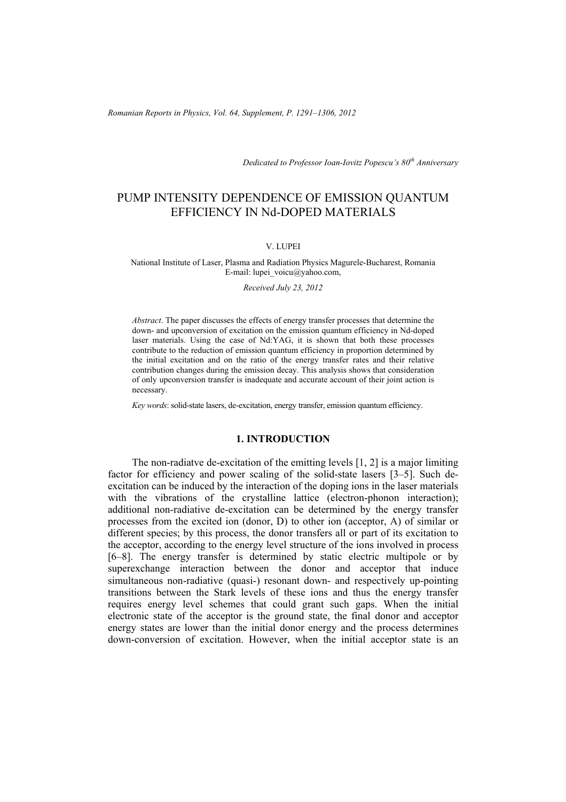*Romanian Reports in Physics, Vol. 64, Supplement, P. 1291–1306, 2012*

*Dedicated to Professor Ioan-Iovitz Popescu's 80th Anniversary*

# PUMP INTENSITY DEPENDENCE OF EMISSION QUANTUM EFFICIENCY IN Nd-DOPED MATERIALS

### V. LUPEI

National Institute of Laser, Plasma and Radiation Physics Magurele-Bucharest, Romania E-mail: lupei\_voicu@yahoo.com,

*Received July 23, 2012* 

*Abstract*. The paper discusses the effects of energy transfer processes that determine the down- and upconversion of excitation on the emission quantum efficiency in Nd-doped laser materials. Using the case of Nd:YAG, it is shown that both these processes contribute to the reduction of emission quantum efficiency in proportion determined by the initial excitation and on the ratio of the energy transfer rates and their relative contribution changes during the emission decay. This analysis shows that consideration of only upconversion transfer is inadequate and accurate account of their joint action is necessary.

*Key words*: solid-state lasers, de-excitation, energy transfer, emission quantum efficiency.

### **1. INTRODUCTION**

The non-radiatve de-excitation of the emitting levels [1, 2] is a major limiting factor for efficiency and power scaling of the solid-state lasers [3–5]. Such deexcitation can be induced by the interaction of the doping ions in the laser materials with the vibrations of the crystalline lattice (electron-phonon interaction); additional non-radiative de-excitation can be determined by the energy transfer processes from the excited ion (donor, D) to other ion (acceptor, A) of similar or different species; by this process, the donor transfers all or part of its excitation to the acceptor, according to the energy level structure of the ions involved in process [6–8]. The energy transfer is determined by static electric multipole or by superexchange interaction between the donor and acceptor that induce simultaneous non-radiative (quasi-) resonant down- and respectively up-pointing transitions between the Stark levels of these ions and thus the energy transfer requires energy level schemes that could grant such gaps. When the initial electronic state of the acceptor is the ground state, the final donor and acceptor energy states are lower than the initial donor energy and the process determines down-conversion of excitation. However, when the initial acceptor state is an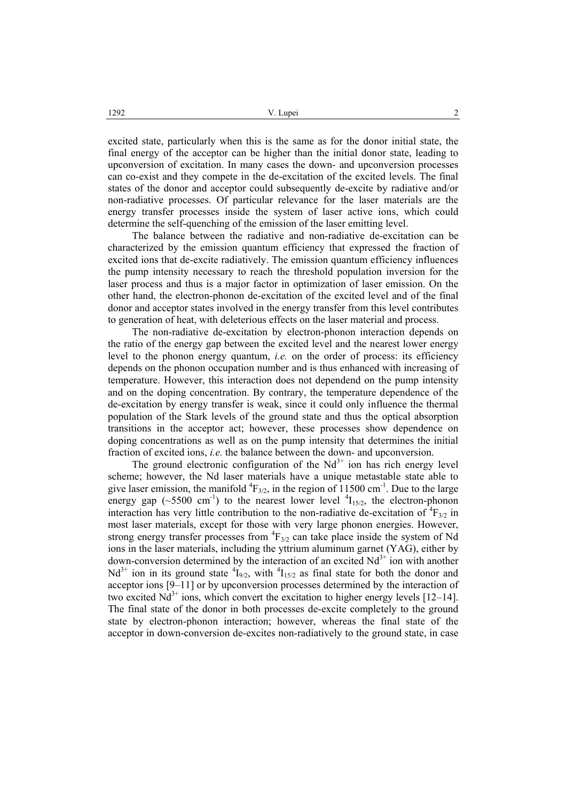excited state, particularly when this is the same as for the donor initial state, the final energy of the acceptor can be higher than the initial donor state, leading to upconversion of excitation. In many cases the down- and upconversion processes can co-exist and they compete in the de-excitation of the excited levels. The final states of the donor and acceptor could subsequently de-excite by radiative and/or non-radiative processes. Of particular relevance for the laser materials are the energy transfer processes inside the system of laser active ions, which could determine the self-quenching of the emission of the laser emitting level.

The balance between the radiative and non-radiative de-excitation can be characterized by the emission quantum efficiency that expressed the fraction of excited ions that de-excite radiatively. The emission quantum efficiency influences the pump intensity necessary to reach the threshold population inversion for the laser process and thus is a major factor in optimization of laser emission. On the other hand, the electron-phonon de-excitation of the excited level and of the final donor and acceptor states involved in the energy transfer from this level contributes to generation of heat, with deleterious effects on the laser material and process.

The non-radiative de-excitation by electron-phonon interaction depends on the ratio of the energy gap between the excited level and the nearest lower energy level to the phonon energy quantum, *i.e.* on the order of process: its efficiency depends on the phonon occupation number and is thus enhanced with increasing of temperature. However, this interaction does not dependend on the pump intensity and on the doping concentration. By contrary, the temperature dependence of the de-excitation by energy transfer is weak, since it could only influence the thermal population of the Stark levels of the ground state and thus the optical absorption transitions in the acceptor act; however, these processes show dependence on doping concentrations as well as on the pump intensity that determines the initial fraction of excited ions, *i.e.* the balance between the down- and upconversion.

The ground electronic configuration of the  $Nd^{3+}$  ion has rich energy level scheme; however, the Nd laser materials have a unique metastable state able to give laser emission, the manifold  ${}^{4}F_{3/2}$ , in the region of  $11500 \text{ cm}^{-1}$ . Due to the large energy gap ( $\sim$ 5500 cm<sup>-1</sup>) to the nearest lower level  $^{4}I_{15/2}$ , the electron-phonon interaction has very little contribution to the non-radiative de-excitation of  ${}^{4}F_{3/2}$  in most laser materials, except for those with very large phonon energies. However, strong energy transfer processes from  ${}^{4}F_{3/2}$  can take place inside the system of Nd ions in the laser materials, including the yttrium aluminum garnet (YAG), either by down-conversion determined by the interaction of an excited  $Nd<sup>3+</sup>$  ion with another  $Nd^{3+}$  ion in its ground state  ${}^{4}I_{9/2}$ , with  ${}^{4}I_{15/2}$  as final state for both the donor and acceptor ions [9–11] or by upconversion processes determined by the interaction of two excited  $Nd^{3+}$  ions, which convert the excitation to higher energy levels [12–14]. The final state of the donor in both processes de-excite completely to the ground state by electron-phonon interaction; however, whereas the final state of the acceptor in down-conversion de-excites non-radiatively to the ground state, in case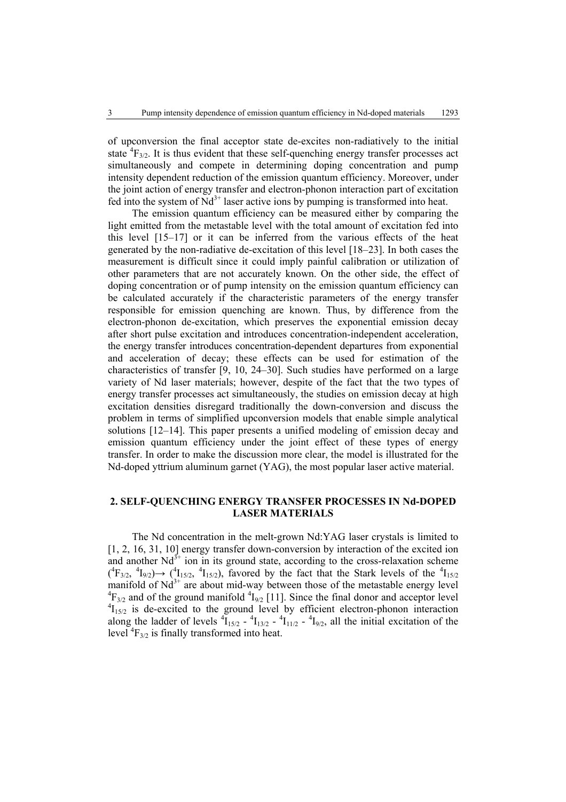of upconversion the final acceptor state de-excites non-radiatively to the initial state  ${}^{4}F_{3/2}$ . It is thus evident that these self-quenching energy transfer processes act simultaneously and compete in determining doping concentration and pump intensity dependent reduction of the emission quantum efficiency. Moreover, under the joint action of energy transfer and electron-phonon interaction part of excitation fed into the system of  $Nd^{3+}$  laser active ions by pumping is transformed into heat.

The emission quantum efficiency can be measured either by comparing the light emitted from the metastable level with the total amount of excitation fed into this level [15–17] or it can be inferred from the various effects of the heat generated by the non-radiative de-excitation of this level [18–23]. In both cases the measurement is difficult since it could imply painful calibration or utilization of other parameters that are not accurately known. On the other side, the effect of doping concentration or of pump intensity on the emission quantum efficiency can be calculated accurately if the characteristic parameters of the energy transfer responsible for emission quenching are known. Thus, by difference from the electron-phonon de-excitation, which preserves the exponential emission decay after short pulse excitation and introduces concentration-independent acceleration, the energy transfer introduces concentration-dependent departures from exponential and acceleration of decay; these effects can be used for estimation of the characteristics of transfer [9, 10, 24–30]. Such studies have performed on a large variety of Nd laser materials; however, despite of the fact that the two types of energy transfer processes act simultaneously, the studies on emission decay at high excitation densities disregard traditionally the down-conversion and discuss the problem in terms of simplified upconversion models that enable simple analytical solutions [12–14]. This paper presents a unified modeling of emission decay and emission quantum efficiency under the joint effect of these types of energy transfer. In order to make the discussion more clear, the model is illustrated for the Nd-doped yttrium aluminum garnet (YAG), the most popular laser active material.

# **2. SELF-QUENCHING ENERGY TRANSFER PROCESSES IN Nd-DOPED LASER MATERIALS**

The Nd concentration in the melt-grown Nd:YAG laser crystals is limited to [1, 2, 16, 31, 10] energy transfer down-conversion by interaction of the excited ion and another  $Nd^{3+}$  ion in its ground state, according to the cross-relaxation scheme  $({}^{4}F_{3/2}, {}^{4}I_{9/2}) \rightarrow ({}^{4}I_{15/2}, {}^{4}I_{15/2})$ , favored by the fact that the Stark levels of the  ${}^{4}I_{15/2}$ manifold of  $Nd^{3+}$  are about mid-way between those of the metastable energy level  ${}^{4}F_{3/2}$  and of the ground manifold  ${}^{4}I_{9/2}$  [11]. Since the final donor and acceptor level  ${}^{4}I_{15/2}$  is de-excited to the ground level by efficient electron-phonon interaction along the ladder of levels  ${}^{4}I_{15/2}$  -  ${}^{4}I_{13/2}$  -  ${}^{4}I_{11/2}$  -  ${}^{4}I_{9/2}$ , all the initial excitation of the level  ${}^{4}F_{3/2}$  is finally transformed into heat.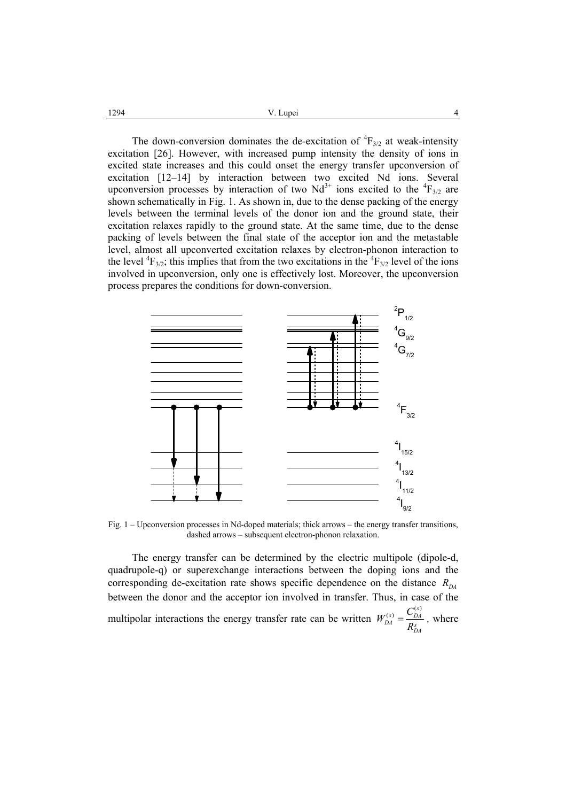V. Lupei 4 1294

The down-conversion dominates the de-excitation of  ${}^{4}F_{3/2}$  at weak-intensity excitation [26]. However, with increased pump intensity the density of ions in excited state increases and this could onset the energy transfer upconversion of excitation [12–14] by interaction between two excited Nd ions. Several upconversion processes by interaction of two  $Nd^{3+}$  ions excited to the  ${}^{4}F_{3/2}$  are shown schematically in Fig. 1. As shown in, due to the dense packing of the energy levels between the terminal levels of the donor ion and the ground state, their excitation relaxes rapidly to the ground state. At the same time, due to the dense packing of levels between the final state of the acceptor ion and the metastable level, almost all upconverted excitation relaxes by electron-phonon interaction to the level  ${}^{4}F_{3/2}$ ; this implies that from the two excitations in the  ${}^{4}F_{3/2}$  level of the ions involved in upconversion, only one is effectively lost. Moreover, the upconversion process prepares the conditions for down-conversion.



Fig. 1 – Upconversion processes in Nd-doped materials; thick arrows – the energy transfer transitions, dashed arrows – subsequent electron-phonon relaxation.

The energy transfer can be determined by the electric multipole (dipole-d, quadrupole-q) or superexchange interactions between the doping ions and the corresponding de-excitation rate shows specific dependence on the distance  $R_{DA}$ between the donor and the acceptor ion involved in transfer. Thus, in case of the multipolar interactions the energy transfer rate can be written  $\frac{r(s)}{DA} = \frac{C_{DA}^{(s)}}{R_{DA}^s}$  $W_{DA}^{(s)} = \frac{C_{DA}^{(s)}}{R_{DA}^{s}}$ , where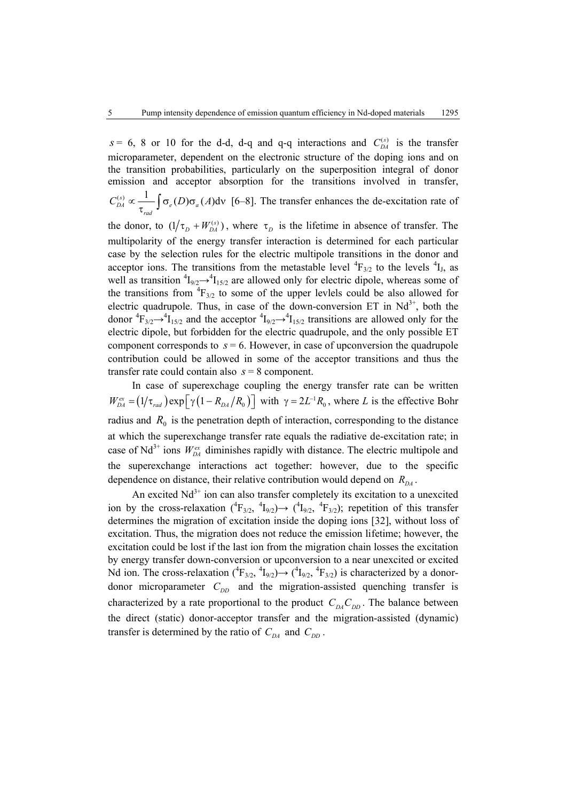$s = 6$ , 8 or 10 for the d-d, d-q and q-q interactions and  $C_{DA}^{(s)}$  is the transfer microparameter, dependent on the electronic structure of the doping ions and on the transition probabilities, particularly on the superposition integral of donor emission and acceptor absorption for the transitions involved in transfer,  $\int_{DA}^{(s)} \infty \frac{1}{\epsilon} \int \sigma_e(D) \sigma_a(A) d\theta$ *rad*  $C_{DA}^{(s)} \propto \frac{1}{\tau_{rad}} \int \sigma_e(D) \sigma_a(A) d\sigma$  [6–8]. The transfer enhances the de-excitation rate of the donor, to  $(1/\tau_D + W_{DA}^{(s)})$ , where  $\tau_D$  is the lifetime in absence of transfer. The multipolarity of the energy transfer interaction is determined for each particular case by the selection rules for the electric multipole transitions in the donor and acceptor ions. The transitions from the metastable level  ${}^{4}F_{3/2}$  to the levels  ${}^{4}I_{J}$ , as well as transition  ${}^4I_{9/2} \rightarrow {}^4I_{15/2}$  are allowed only for electric dipole, whereas some of the transitions from  ${}^{4}F_{3/2}$  to some of the upper levlels could be also allowed for electric quadrupole. Thus, in case of the down-conversion ET in  $Nd^{3+}$ , both the donor  ${}^4F_{3/2} \rightarrow {}^4I_{15/2}$  and the acceptor  ${}^4I_{9/2} \rightarrow {}^4I_{15/2}$  transitions are allowed only for the electric dipole, but forbidden for the electric quadrupole, and the only possible ET component corresponds to  $s = 6$ . However, in case of upconversion the quadrupole contribution could be allowed in some of the acceptor transitions and thus the transfer rate could contain also  $s = 8$  component.

In case of superexchage coupling the energy transfer rate can be written  $W_{DA}^{ex} = (1/\tau_{rad}) \exp[\gamma (1 - R_{DA}/R_0)]$  with  $\gamma = 2L^{-1}R_0$ , where *L* is the effective Bohr radius and  $R_0$  is the penetration depth of interaction, corresponding to the distance at which the superexchange transfer rate equals the radiative de-excitation rate; in case of Nd<sup>3+</sup> ions  $W_{DA}^{ex}$  diminishes rapidly with distance. The electric multipole and the superexchange interactions act together: however, due to the specific dependence on distance, their relative contribution would depend on  $R_{\text{D}4}$ .

An excited  $Nd^{3+}$  ion can also transfer completely its excitation to a unexcited ion by the cross-relaxation  $({}^{4}F_{3/2}, {}^{4}I_{9/2}) \rightarrow ({}^{4}I_{9/2}, {}^{4}F_{3/2})$ ; repetition of this transfer determines the migration of excitation inside the doping ions [32], without loss of excitation. Thus, the migration does not reduce the emission lifetime; however, the excitation could be lost if the last ion from the migration chain losses the excitation by energy transfer down-conversion or upconversion to a near unexcited or excited Nd ion. The cross-relaxation  $({}^{4}F_{3/2}, {}^{4}I_{9/2}) \rightarrow ({}^{4}I_{9/2}, {}^{4}F_{3/2})$  is characterized by a donordonor microparameter  $C_{DD}$  and the migration-assisted quenching transfer is characterized by a rate proportional to the product  $C_{DA}C_{DD}$ . The balance between the direct (static) donor-acceptor transfer and the migration-assisted (dynamic) transfer is determined by the ratio of  $C_{DA}$  and  $C_{DD}$ .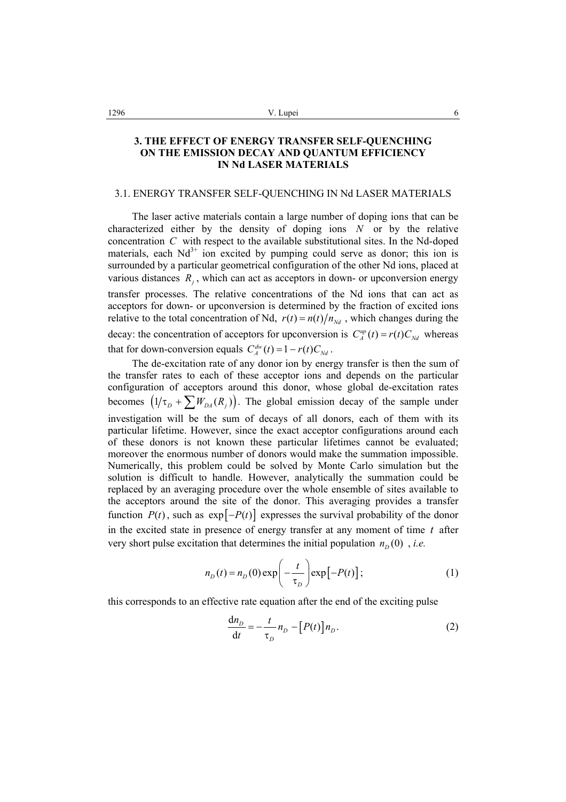# **3. THE EFFECT OF ENERGY TRANSFER SELF-QUENCHING ON THE EMISSION DECAY AND QUANTUM EFFICIENCY IN Nd LASER MATERIALS**

### 3.1. ENERGY TRANSFER SELF-QUENCHING IN Nd LASER MATERIALS

The laser active materials contain a large number of doping ions that can be characterized either by the density of doping ions *N* or by the relative concentration *C* with respect to the available substitutional sites. In the Nd-doped materials, each  $Nd^{3+}$  ion excited by pumping could serve as donor; this ion is surrounded by a particular geometrical configuration of the other Nd ions, placed at various distances  $R_i$ , which can act as acceptors in down- or upconversion energy transfer processes. The relative concentrations of the Nd ions that can act as acceptors for down- or upconversion is determined by the fraction of excited ions relative to the total concentration of Nd,  $r(t) = n(t)/n_{\text{rad}}$ , which changes during the decay: the concentration of acceptors for upconversion is  $C_A^{up}(t) = r(t)C_M$  whereas that for down-conversion equals  $C_A^{dw}(t) = 1 - r(t)C_{Nd}$ .

The de-excitation rate of any donor ion by energy transfer is then the sum of the transfer rates to each of these acceptor ions and depends on the particular configuration of acceptors around this donor, whose global de-excitation rates becomes  $(1/\tau_p + \sum W_{DA}(R_i))$ . The global emission decay of the sample under investigation will be the sum of decays of all donors, each of them with its particular lifetime. However, since the exact acceptor configurations around each of these donors is not known these particular lifetimes cannot be evaluated; moreover the enormous number of donors would make the summation impossible. Numerically, this problem could be solved by Monte Carlo simulation but the solution is difficult to handle. However, analytically the summation could be replaced by an averaging procedure over the whole ensemble of sites available to the acceptors around the site of the donor. This averaging provides a transfer function  $P(t)$ , such as  $exp[-P(t)]$  expresses the survival probability of the donor in the excited state in presence of energy transfer at any moment of time *t* after very short pulse excitation that determines the initial population  $n_D(0)$ , *i.e.* 

$$
n_D(t) = n_D(0) \exp\left(-\frac{t}{\tau_D}\right) \exp\left[-P(t)\right];\tag{1}
$$

this corresponds to an effective rate equation after the end of the exciting pulse

$$
\frac{dn_D}{dt} = -\frac{t}{\tau_D} n_D - [P(t)] n_D.
$$
 (2)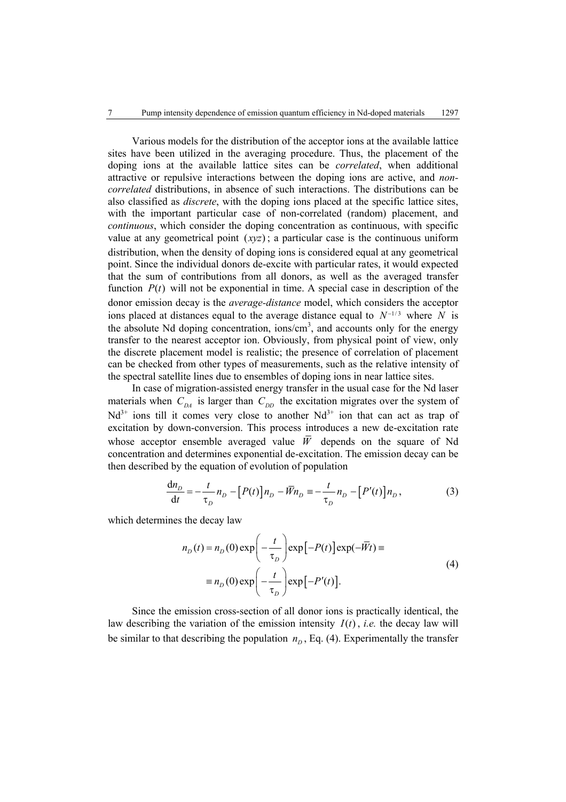Various models for the distribution of the acceptor ions at the available lattice sites have been utilized in the averaging procedure. Thus, the placement of the doping ions at the available lattice sites can be *correlated*, when additional attractive or repulsive interactions between the doping ions are active, and *noncorrelated* distributions, in absence of such interactions. The distributions can be also classified as *discrete*, with the doping ions placed at the specific lattice sites, with the important particular case of non-correlated (random) placement, and *continuous*, which consider the doping concentration as continuous, with specific value at any geometrical point  $(xyz)$ ; a particular case is the continuous uniform distribution, when the density of doping ions is considered equal at any geometrical point. Since the individual donors de-excite with particular rates, it would expected that the sum of contributions from all donors, as well as the averaged transfer function  $P(t)$  will not be exponential in time. A special case in description of the donor emission decay is the *average-distance* model, which considers the acceptor ions placed at distances equal to the average distance equal to  $N^{-1/3}$  where N is the absolute Nd doping concentration, ions/cm<sup>3</sup>, and accounts only for the energy transfer to the nearest acceptor ion. Obviously, from physical point of view, only the discrete placement model is realistic; the presence of correlation of placement can be checked from other types of measurements, such as the relative intensity of the spectral satellite lines due to ensembles of doping ions in near lattice sites.

In case of migration-assisted energy transfer in the usual case for the Nd laser materials when  $C_{DA}$  is larger than  $C_{DD}$  the excitation migrates over the system of  $Nd^{3+}$  ions till it comes very close to another  $Nd^{3+}$  ion that can act as trap of excitation by down-conversion. This process introduces a new de-excitation rate whose acceptor ensemble averaged value  $\overline{W}$  depends on the square of Nd concentration and determines exponential de-excitation. The emission decay can be then described by the equation of evolution of population

$$
\frac{\mathrm{d}n_D}{\mathrm{d}t} = -\frac{t}{\tau_D} n_D - [P(t)] n_D - \overline{W} n_D = -\frac{t}{\tau_D} n_D - [P'(t)] n_D, \qquad (3)
$$

which determines the decay law

$$
n_D(t) = n_D(0) \exp\left(-\frac{t}{\tau_D}\right) \exp\left[-P(t)\right] \exp(-\overline{W}t) \equiv
$$
  

$$
\equiv n_D(0) \exp\left(-\frac{t}{\tau_D}\right) \exp\left[-P'(t)\right].
$$
 (4)

Since the emission cross-section of all donor ions is practically identical, the law describing the variation of the emission intensity  $I(t)$ , *i.e.* the decay law will be similar to that describing the population  $n<sub>D</sub>$ , Eq. (4). Experimentally the transfer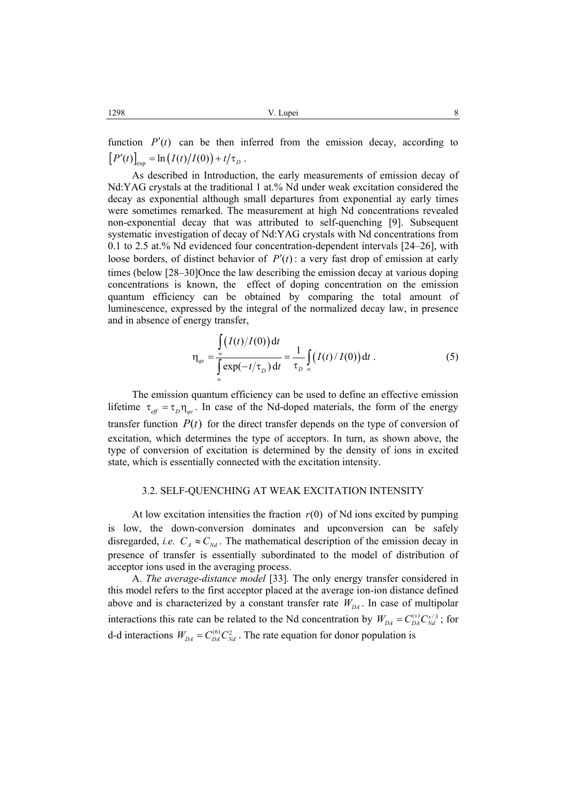function  $P'(t)$  can be then inferred from the emission decay, according to  $[P'(t)]_{\text{exp}} = \ln (I(t)/I(0)) + t/\tau_D$ .

As described in Introduction, the early measurements of emission decay of Nd:YAG crystals at the traditional 1 at.% Nd under weak excitation considered the decay as exponential although small departures from exponential ay early times were sometimes remarked. The measurement at high Nd concentrations revealed non-exponential decay that was attributed to self-quenching [9]. Subsequent systematic investigation of decay of Nd:YAG crystals with Nd concentrations from 0.1 to 2.5 at.% Nd evidenced four concentration-dependent intervals [24–26], with loose borders, of distinct behavior of  $P'(t)$ : a very fast drop of emission at early times (below [28–30]Once the law describing the emission decay at various doping concentrations is known, the effect of doping concentration on the emission quantum efficiency can be obtained by comparing the total amount of luminescence, expressed by the integral of the normalized decay law, in presence and in absence of energy transfer,

$$
\eta_{qe} = \frac{\int_{\infty}^{t} (I(t)/I(0)) dt}{\int_{\infty}^{t} \exp(-t/\tau_{D}) dt} = \frac{1}{\tau_{D}} \int_{\infty}^{t} (I(t)/I(0)) dt.
$$
 (5)

The emission quantum efficiency can be used to define an effective emission lifetime  $\tau_{eff} = \tau_D \eta_{qe}$ . In case of the Nd-doped materials, the form of the energy transfer function  $P(t)$  for the direct transfer depends on the type of conversion of excitation, which determines the type of acceptors. In turn, as shown above, the type of conversion of excitation is determined by the density of ions in excited state, which is essentially connected with the excitation intensity.

#### 3.2. SELF-QUENCHING AT WEAK EXCITATION INTENSITY

At low excitation intensities the fraction  $r(0)$  of Nd ions excited by pumping is low, the down-conversion dominates and upconversion can be safely disregarded, *i.e.*  $C_A \approx C_{Nd}$ . The mathematical description of the emission decay in presence of transfer is essentially subordinated to the model of distribution of acceptor ions used in the averaging process.

A. *The average-distance model* [33]*.* The only energy transfer considered in this model refers to the first acceptor placed at the average ion-ion distance defined above and is characterized by a constant transfer rate  $W_{DA}$ . In case of multipolar interactions this rate can be related to the Nd concentration by  $W_{DA} = C_{DA}^{(s)} C_{Nd}^{s/3}$ ; for d-d interactions  $W_{DA} = C_{DA}^{(6)} C_{Nd}^2$ . The rate equation for donor population is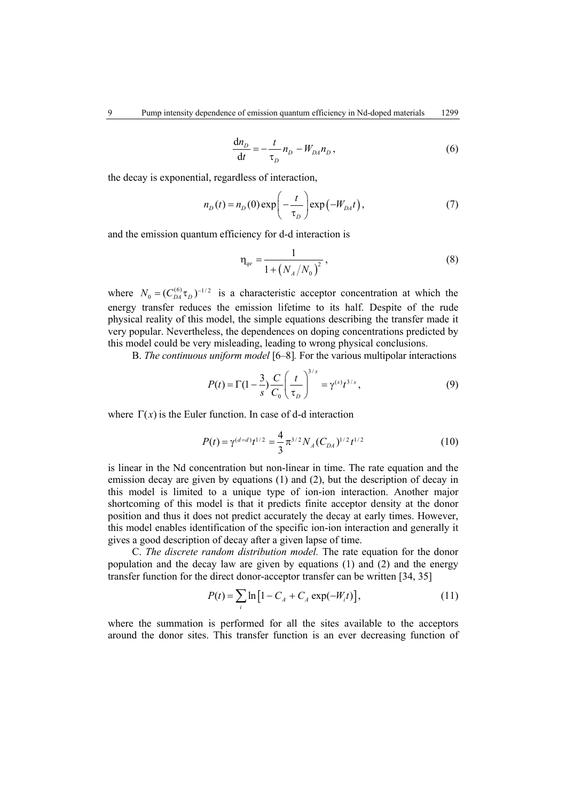$$
\frac{\mathrm{d}n_D}{\mathrm{d}t} = -\frac{t}{\tau_D} n_D - W_{DA} n_D, \qquad (6)
$$

the decay is exponential, regardless of interaction,

$$
n_D(t) = n_D(0) \exp\left(-\frac{t}{\tau_D}\right) \exp\left(-W_{DA}t\right),\tag{7}
$$

and the emission quantum efficiency for d-d interaction is

$$
\eta_{qe} = \frac{1}{1 + \left(N_A / N_0\right)^2},\tag{8}
$$

where  $N_0 = (C_{DA}^{(6)} \tau_D)^{-1/2}$  is a characteristic acceptor concentration at which the energy transfer reduces the emission lifetime to its half. Despite of the rude physical reality of this model, the simple equations describing the transfer made it very popular. Nevertheless, the dependences on doping concentrations predicted by this model could be very misleading, leading to wrong physical conclusions.

B. *The continuous uniform model* [6–8]*.* For the various multipolar interactions

$$
P(t) = \Gamma(1 - \frac{3}{s}) \frac{C}{C_0} \left(\frac{t}{\tau_D}\right)^{3/s} = \gamma^{(s)} t^{3/s},\tag{9}
$$

where  $\Gamma(x)$  is the Euler function. In case of d-d interaction

$$
P(t) = \gamma^{(d=d)} t^{1/2} = \frac{4}{3} \pi^{3/2} N_A (C_{DA})^{1/2} t^{1/2}
$$
 (10)

is linear in the Nd concentration but non-linear in time. The rate equation and the emission decay are given by equations (1) and (2), but the description of decay in this model is limited to a unique type of ion-ion interaction. Another major shortcoming of this model is that it predicts finite acceptor density at the donor position and thus it does not predict accurately the decay at early times. However, this model enables identification of the specific ion-ion interaction and generally it gives a good description of decay after a given lapse of time.

C. *The discrete random distribution model.* The rate equation for the donor population and the decay law are given by equations (1) and (2) and the energy transfer function for the direct donor-acceptor transfer can be written [34, 35]

$$
P(t) = \sum_{i} \ln \left[ 1 - C_A + C_A \exp(-W_i t) \right],
$$
 (11)

where the summation is performed for all the sites available to the acceptors around the donor sites. This transfer function is an ever decreasing function of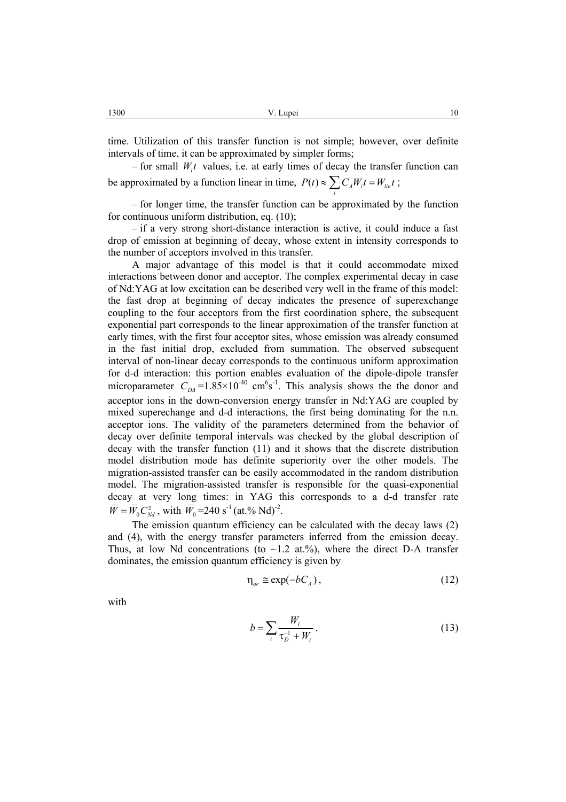time. Utilization of this transfer function is not simple; however, over definite intervals of time, it can be approximated by simpler forms;

 $-$  for small  $W<sub>i</sub>t$  values, i.e. at early times of decay the transfer function can be approximated by a function linear in time,  $P(t) \approx \sum C_A W_i t = W_{\text{lin}} t$ ;

– for longer time, the transfer function can be approximated by the function for continuous uniform distribution, eq. (10);

*i*

– if a very strong short-distance interaction is active, it could induce a fast drop of emission at beginning of decay, whose extent in intensity corresponds to the number of acceptors involved in this transfer.

 A major advantage of this model is that it could accommodate mixed interactions between donor and acceptor. The complex experimental decay in case of Nd:YAG at low excitation can be described very well in the frame of this model: the fast drop at beginning of decay indicates the presence of superexchange coupling to the four acceptors from the first coordination sphere, the subsequent exponential part corresponds to the linear approximation of the transfer function at early times, with the first four acceptor sites, whose emission was already consumed in the fast initial drop, excluded from summation. The observed subsequent interval of non-linear decay corresponds to the continuous uniform approximation for d-d interaction: this portion enables evaluation of the dipole-dipole transfer microparameter  $C_{DA} = 1.85 \times 10^{-40}$  cm<sup>6</sup>s<sup>-1</sup>. This analysis shows the the donor and acceptor ions in the down-conversion energy transfer in Nd:YAG are coupled by mixed superechange and d-d interactions, the first being dominating for the n.n. acceptor ions. The validity of the parameters determined from the behavior of decay over definite temporal intervals was checked by the global description of decay with the transfer function (11) and it shows that the discrete distribution model distribution mode has definite superiority over the other models. The migration-assisted transfer can be easily accommodated in the random distribution model. The migration-assisted transfer is responsible for the quasi-exponential decay at very long times: in YAG this corresponds to a d-d transfer rate  $\overline{W} = \overline{W}_0 C_{Nd}^2$ , with  $\overline{W}_0 = 240 \text{ s}^{-1}$  (at.% Nd)<sup>-2</sup>.

 The emission quantum efficiency can be calculated with the decay laws (2) and (4), with the energy transfer parameters inferred from the emission decay. Thus, at low Nd concentrations (to  $\sim$ 1.2 at.%), where the direct D-A transfer dominates, the emission quantum efficiency is given by

$$
\eta_{qe} \cong \exp(-bC_A),\tag{12}
$$

with

$$
b = \sum_{i} \frac{W_i}{\tau_D^{-1} + W_i}.
$$
 (13)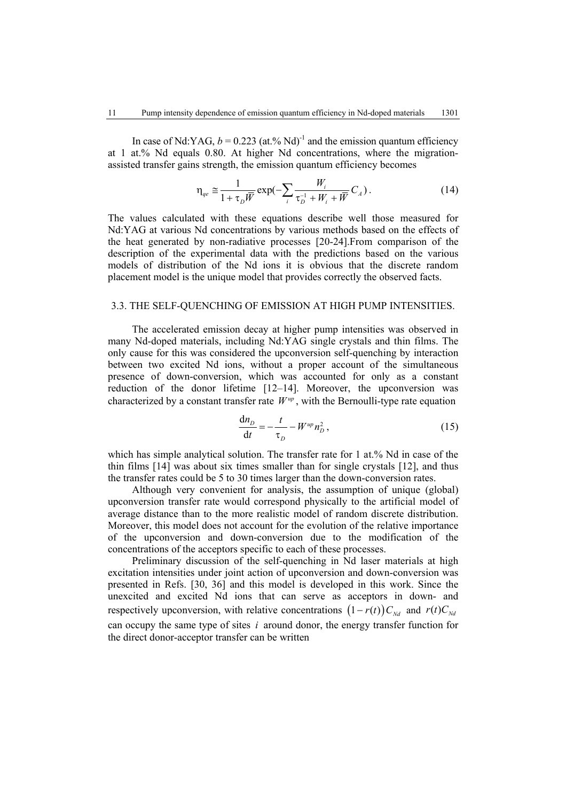In case of Nd:YAG,  $b = 0.223$  (at.% Nd)<sup>-1</sup> and the emission quantum efficiency at 1 at.% Nd equals 0.80. At higher Nd concentrations, where the migrationassisted transfer gains strength, the emission quantum efficiency becomes

$$
\eta_{qe} \cong \frac{1}{1 + \tau_D \overline{W}} \exp(-\sum_i \frac{W_i}{\tau_D^{-1} + W_i + \overline{W}} C_A). \tag{14}
$$

The values calculated with these equations describe well those measured for Nd:YAG at various Nd concentrations by various methods based on the effects of the heat generated by non-radiative processes [20-24].From comparison of the description of the experimental data with the predictions based on the various models of distribution of the Nd ions it is obvious that the discrete random placement model is the unique model that provides correctly the observed facts.

### 3.3. THE SELF-QUENCHING OF EMISSION AT HIGH PUMP INTENSITIES.

 The accelerated emission decay at higher pump intensities was observed in many Nd-doped materials, including Nd:YAG single crystals and thin films. The only cause for this was considered the upconversion self-quenching by interaction between two excited Nd ions, without a proper account of the simultaneous presence of down-conversion, which was accounted for only as a constant reduction of the donor lifetime [12–14]. Moreover, the upconversion was characterized by a constant transfer rate  $W^{\text{up}}$ , with the Bernoulli-type rate equation

$$
\frac{\mathrm{d}n_D}{\mathrm{d}t} = -\frac{t}{\tau_D} - W^{up} n_D^2 \,,\tag{15}
$$

which has simple analytical solution. The transfer rate for 1 at.% Nd in case of the thin films [14] was about six times smaller than for single crystals [12], and thus the transfer rates could be 5 to 30 times larger than the down-conversion rates.

Although very convenient for analysis, the assumption of unique (global) upconversion transfer rate would correspond physically to the artificial model of average distance than to the more realistic model of random discrete distribution. Moreover, this model does not account for the evolution of the relative importance of the upconversion and down-conversion due to the modification of the concentrations of the acceptors specific to each of these processes.

Preliminary discussion of the self-quenching in Nd laser materials at high excitation intensities under joint action of upconversion and down-conversion was presented in Refs. [30, 36] and this model is developed in this work. Since the unexcited and excited Nd ions that can serve as acceptors in down- and respectively upconversion, with relative concentrations  $(1 - r(t)) C_{\text{nd}}$  and  $r(t) C_{\text{nd}}$ can occupy the same type of sites *i* around donor, the energy transfer function for the direct donor-acceptor transfer can be written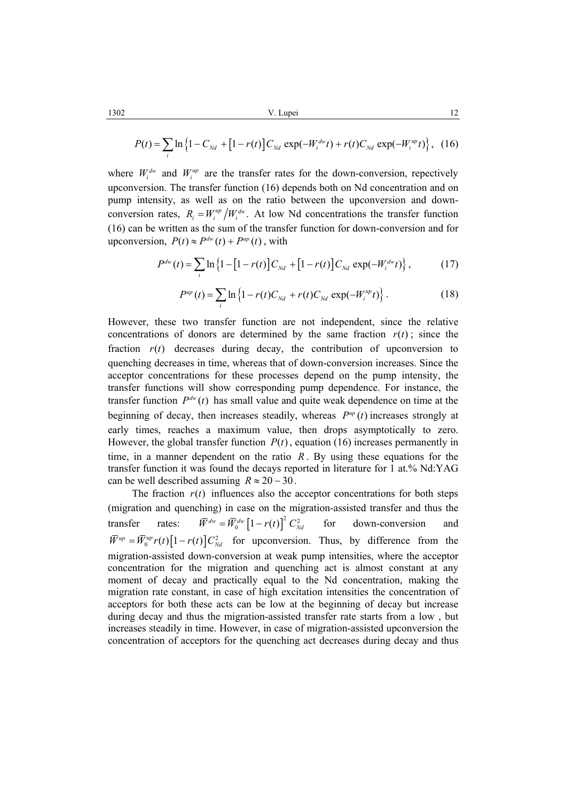$$
P(t) = \sum_{i} \ln \left\{ 1 - C_{Nd} + \left[ 1 - r(t) \right] C_{Nd} \exp(-W_i^{dw} t) + r(t) C_{Nd} \exp(-W_i^{up} t) \right\}, \tag{16}
$$

where  $W_i^{dw}$  and  $W_i^{up}$  are the transfer rates for the down-conversion, repectively upconversion. The transfer function (16) depends both on Nd concentration and on pump intensity, as well as on the ratio between the upconversion and downconversion rates,  $R_i = W_i^{up}/W_i^{dw}$ . At low Nd concentrations the transfer function (16) can be written as the sum of the transfer function for down-conversion and for upconversion,  $P(t) \approx P^{dw}(t) + P^{up}(t)$ , with

$$
P^{dw}(t) = \sum_{i} \ln \left\{ 1 - \left[ 1 - r(t) \right] C_{Nd} + \left[ 1 - r(t) \right] C_{Nd} \exp(-W_i^{dw} t) \right\},\tag{17}
$$

$$
P^{up}(t) = \sum_{i} \ln \left\{ 1 - r(t)C_{Nd} + r(t)C_{Nd} \exp(-W_i^{up}t) \right\}.
$$
 (18)

However, these two transfer function are not independent, since the relative concentrations of donors are determined by the same fraction  $r(t)$ ; since the fraction  $r(t)$  decreases during decay, the contribution of upconversion to quenching decreases in time, whereas that of down-conversion increases. Since the acceptor concentrations for these processes depend on the pump intensity, the transfer functions will show corresponding pump dependence. For instance, the transfer function  $P^{dw}(t)$  has small value and quite weak dependence on time at the beginning of decay, then increases steadily, whereas  $P^{up}(t)$  increases strongly at early times, reaches a maximum value, then drops asymptotically to zero. However, the global transfer function  $P(t)$ , equation (16) increases permanently in time, in a manner dependent on the ratio  $R$ . By using these equations for the transfer function it was found the decays reported in literature for 1 at.% Nd:YAG can be well described assuming  $R \approx 20 - 30$ .

The fraction  $r(t)$  influences also the acceptor concentrations for both steps (migration and quenching) in case on the migration-assisted transfer and thus the transfer rates:  $\overline{W}^{dw} = \overline{W}^{dw}_{0} \left[1 - r(t)\right]^2 C_{Nd}^2$  for down-conversion and  $\overline{W}^{up} = \overline{W}^{up}_{0} r(t) [1 - r(t)] C_{Nd}^{2}$  for upconversion. Thus, by difference from the migration-assisted down-conversion at weak pump intensities, where the acceptor concentration for the migration and quenching act is almost constant at any moment of decay and practically equal to the Nd concentration, making the migration rate constant, in case of high excitation intensities the concentration of acceptors for both these acts can be low at the beginning of decay but increase during decay and thus the migration-assisted transfer rate starts from a low , but increases steadily in time. However, in case of migration-assisted upconversion the concentration of acceptors for the quenching act decreases during decay and thus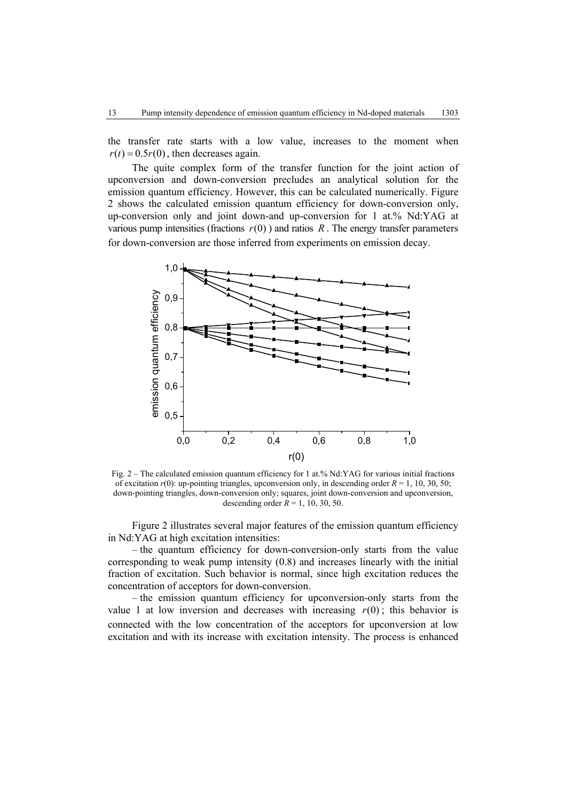the transfer rate starts with a low value, increases to the moment when  $r(t) = 0.5r(0)$ , then decreases again.

 The quite complex form of the transfer function for the joint action of upconversion and down-conversion precludes an analytical solution for the emission quantum efficiency. However, this can be calculated numerically. Figure 2 shows the calculated emission quantum efficiency for down-conversion only, up-conversion only and joint down-and up-conversion for 1 at.% Nd:YAG at various pump intensities (fractions  $r(0)$ ) and ratios R. The energy transfer parameters for down-conversion are those inferred from experiments on emission decay.



Fig. 2 – The calculated emission quantum efficiency for 1 at.% Nd:YAG for various initial fractions of excitation  $r(0)$ : up-pointing triangles, upconversion only, in descending order  $R = 1, 10, 30, 50$ ; down-pointing triangles, down-conversion only; squares, joint down-conversion and upconversion, descending order  $R = 1, 10, 30, 50$ .

 Figure 2 illustrates several major features of the emission quantum efficiency in Nd:YAG at high excitation intensities:

– the quantum efficiency for down-conversion-only starts from the value corresponding to weak pump intensity (0.8) and increases linearly with the initial fraction of excitation. Such behavior is normal, since high excitation reduces the concentration of acceptors for down-conversion.

– the emission quantum efficiency for upconversion-only starts from the value 1 at low inversion and decreases with increasing  $r(0)$ ; this behavior is connected with the low concentration of the acceptors for upconversion at low excitation and with its increase with excitation intensity. The process is enhanced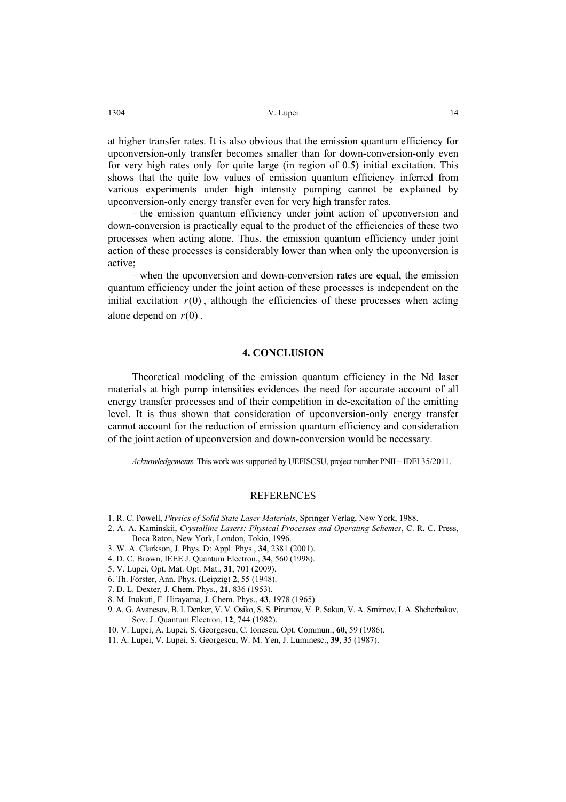at higher transfer rates. It is also obvious that the emission quantum efficiency for upconversion-only transfer becomes smaller than for down-conversion-only even for very high rates only for quite large (in region of 0.5) initial excitation. This shows that the quite low values of emission quantum efficiency inferred from various experiments under high intensity pumping cannot be explained by upconversion-only energy transfer even for very high transfer rates.

– the emission quantum efficiency under joint action of upconversion and down-conversion is practically equal to the product of the efficiencies of these two processes when acting alone. Thus, the emission quantum efficiency under joint action of these processes is considerably lower than when only the upconversion is active;

– when the upconversion and down-conversion rates are equal, the emission quantum efficiency under the joint action of these processes is independent on the initial excitation  $r(0)$ , although the efficiencies of these processes when acting alone depend on  $r(0)$ .

#### **4. CONCLUSION**

Theoretical modeling of the emission quantum efficiency in the Nd laser materials at high pump intensities evidences the need for accurate account of all energy transfer processes and of their competition in de-excitation of the emitting level. It is thus shown that consideration of upconversion-only energy transfer cannot account for the reduction of emission quantum efficiency and consideration of the joint action of upconversion and down-conversion would be necessary.

*Acknowledgements*. This work was supported by UEFISCSU, project number PNII – IDEI 35/2011.

# REFERENCES

- 1. R. C. Powell, *Physics of Solid State Laser Materials*, Springer Verlag, New York, 1988.
- 2. A. A. Kaminskii, *Crystalline Lasers: Physical Processes and Operating Schemes*, C. R. C. Press, Boca Raton, New York, London, Tokio, 1996.
- 3. W. A. Clarkson, J. Phys. D: Appl. Phys., **34**, 2381 (2001).
- 4. D. C. Brown, IEEE J. Quantum Electron., **34**, 560 (1998).
- 5. V. Lupei, Opt. Mat. Opt. Mat., **31**, 701 (2009).
- 6. Th. Forster, Ann. Phys. (Leipzig) **2**, 55 (1948).
- 7. D. L. Dexter, J. Chem. Phys., **21**, 836 (1953).
- 8. M. Inokuti, F. Hirayama, J. Chem. Phys., **43**, 1978 (1965).
- 9. A. G. Avanesov, B. I. Denker, V. V. Osiko, S. S. Pirumov, V. P. Sakun, V. A. Smirnov, I. A. Shcherbakov, Sov. J. Quantum Electron, **12**, 744 (1982).
- 10. V. Lupei, A. Lupei, S. Georgescu, C. Ionescu, Opt. Commun., **60**, 59 (1986).
- 11. A. Lupei, V. Lupei, S. Georgescu, W. M. Yen, J. Luminesc., **39**, 35 (1987).